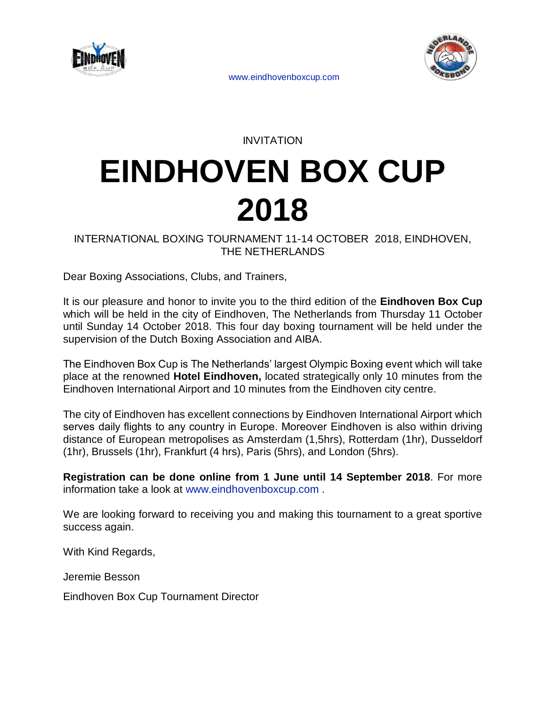

INVITATION

# **EINDHOVEN BOX CUP 2018**

INTERNATIONAL BOXING TOURNAMENT 11-14 OCTOBER 2018, EINDHOVEN, THE NETHERLANDS

Dear Boxing Associations, Clubs, and Trainers,

It is our pleasure and honor to invite you to the third edition of the **Eindhoven Box Cup** which will be held in the city of Eindhoven, The Netherlands from Thursday 11 October until Sunday 14 October 2018. This four day boxing tournament will be held under the supervision of the Dutch Boxing Association and AIBA.

The Eindhoven Box Cup is The Netherlands' largest Olympic Boxing event which will take place at the renowned **Hotel Eindhoven,** located strategically only 10 minutes from the Eindhoven International Airport and 10 minutes from the Eindhoven city centre.

The city of Eindhoven has excellent connections by Eindhoven International Airport which serves daily flights to any country in Europe. Moreover Eindhoven is also within driving distance of European metropolises as Amsterdam (1,5hrs), Rotterdam (1hr), Dusseldorf (1hr), Brussels (1hr), Frankfurt (4 hrs), Paris (5hrs), and London (5hrs).

**Registration can be done online from 1 June until 14 September 2018**. For more information take a look at [www.eindhovenboxcup.com .](http://www.eindhovenboxcup.com/)

We are looking forward to receiving you and making this tournament to a great sportive success again.

With Kind Regards,

Jeremie Besson

Eindhoven Box Cup Tournament Director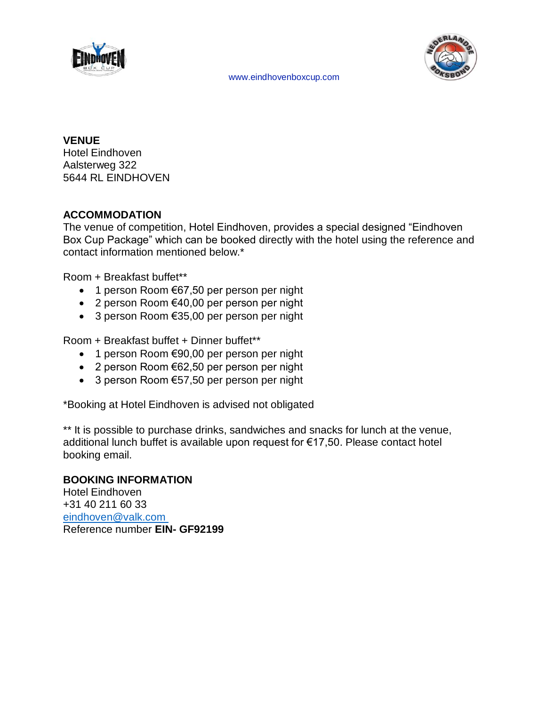



**VENUE** Hotel Eindhoven Aalsterweg 322 5644 RL EINDHOVEN

## **ACCOMMODATION**

The venue of competition, Hotel Eindhoven, provides a special designed "Eindhoven Box Cup Package" which can be booked directly with the hotel using the reference and contact information mentioned below.\*

Room + Breakfast buffet\*\*

- 1 person Room €67,50 per person per night
- 2 person Room €40,00 per person per night
- 3 person Room €35,00 per person per night

Room + Breakfast buffet + Dinner buffet\*\*

- 1 person Room €90,00 per person per night
- 2 person Room €62,50 per person per night
- 3 person Room €57,50 per person per night

\*Booking at Hotel Eindhoven is advised not obligated

\*\* It is possible to purchase drinks, sandwiches and snacks for lunch at the venue, additional lunch buffet is available upon request for €17,50. Please contact hotel booking email.

## **BOOKING INFORMATION**

Hotel Eindhoven +31 40 211 60 33 [eindhoven@valk.com](mailto:eindhoven@valk.com)  Reference number **EIN- GF92199**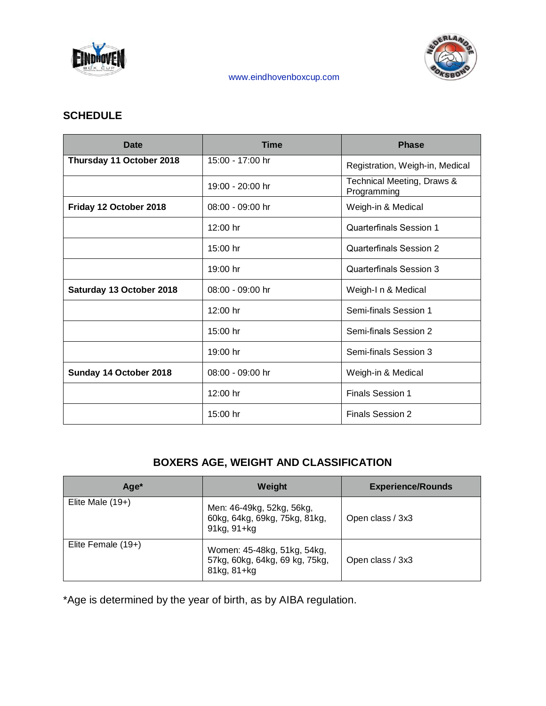



## **SCHEDULE**

| <b>Date</b>              | <b>Time</b>        | <b>Phase</b>                              |
|--------------------------|--------------------|-------------------------------------------|
| Thursday 11 October 2018 | 15:00 - 17:00 hr   | Registration, Weigh-in, Medical           |
|                          | 19:00 - 20:00 hr   | Technical Meeting, Draws &<br>Programming |
| Friday 12 October 2018   | $08:00 - 09:00$ hr | Weigh-in & Medical                        |
|                          | $12:00$ hr         | Quarterfinals Session 1                   |
|                          | $15:00$ hr         | Quarterfinals Session 2                   |
|                          | 19:00 hr           | Quarterfinals Session 3                   |
| Saturday 13 October 2018 | 08:00 - 09:00 hr   | Weigh-I n & Medical                       |
|                          | $12:00$ hr         | Semi-finals Session 1                     |
|                          | 15:00 hr           | Semi-finals Session 2                     |
|                          | 19:00 hr           | Semi-finals Session 3                     |
| Sunday 14 October 2018   | 08:00 - 09:00 hr   | Weigh-in & Medical                        |
|                          | $12:00$ hr         | <b>Finals Session 1</b>                   |
|                          | 15:00 hr           | <b>Finals Session 2</b>                   |

# **BOXERS AGE, WEIGHT AND CLASSIFICATION**

| Age*                 | Weight                                                                       | <b>Experience/Rounds</b> |
|----------------------|------------------------------------------------------------------------------|--------------------------|
| Elite Male $(19+)$   | Men: 46-49kg, 52kg, 56kg,<br>60kg, 64kg, 69kg, 75kg, 81kg,<br>91kg, 91+kg    | Open class / 3x3         |
| Elite Female $(19+)$ | Women: 45-48kg, 51kg, 54kg,<br>57kg, 60kg, 64kg, 69 kg, 75kg,<br>81kg, 81+kg | Open class / 3x3         |

\*Age is determined by the year of birth, as by AIBA regulation.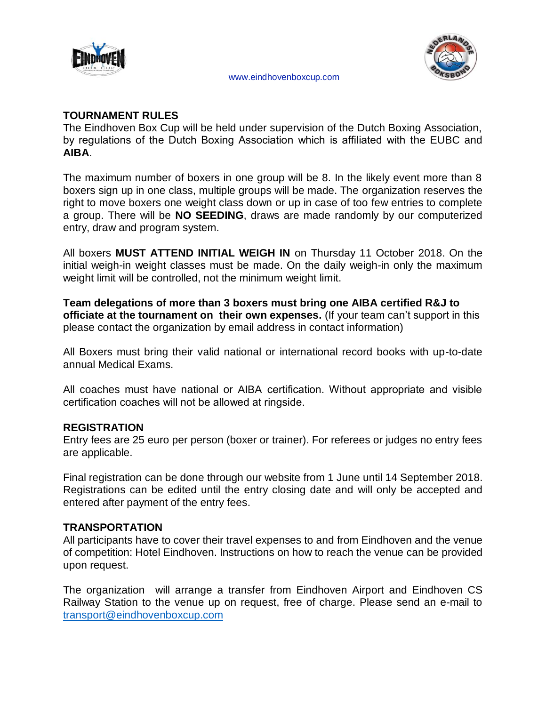



#### **TOURNAMENT RULES**

The Eindhoven Box Cup will be held under supervision of the Dutch Boxing Association, by regulations of the Dutch Boxing Association which is affiliated with the EUBC and **AIBA**.

The maximum number of boxers in one group will be 8. In the likely event more than 8 boxers sign up in one class, multiple groups will be made. The organization reserves the right to move boxers one weight class down or up in case of too few entries to complete a group. There will be **NO SEEDING**, draws are made randomly by our computerized entry, draw and program system.

All boxers **MUST ATTEND INITIAL WEIGH IN** on Thursday 11 October 2018. On the initial weigh-in weight classes must be made. On the daily weigh-in only the maximum weight limit will be controlled, not the minimum weight limit.

**Team delegations of more than 3 boxers must bring one AIBA certified R&J to officiate at the tournament on their own expenses.** (If your team can't support in this please contact the organization by email address in contact information)

All Boxers must bring their valid national or international record books with up-to-date annual Medical Exams.

All coaches must have national or AIBA certification. Without appropriate and visible certification coaches will not be allowed at ringside.

## **REGISTRATION**

Entry fees are 25 euro per person (boxer or trainer). For referees or judges no entry fees are applicable.

Final registration can be done through our website from 1 June until 14 September 2018. Registrations can be edited until the entry closing date and will only be accepted and entered after payment of the entry fees.

## **TRANSPORTATION**

All participants have to cover their travel expenses to and from Eindhoven and the venue of competition: Hotel Eindhoven. Instructions on how to reach the venue can be provided upon request.

The organization will arrange a transfer from Eindhoven Airport and Eindhoven CS Railway Station to the venue up on request, free of charge. Please send an e-mail to [transport@eindhovenboxcup.com](mailto:transport@eindhovenboxcup.com)